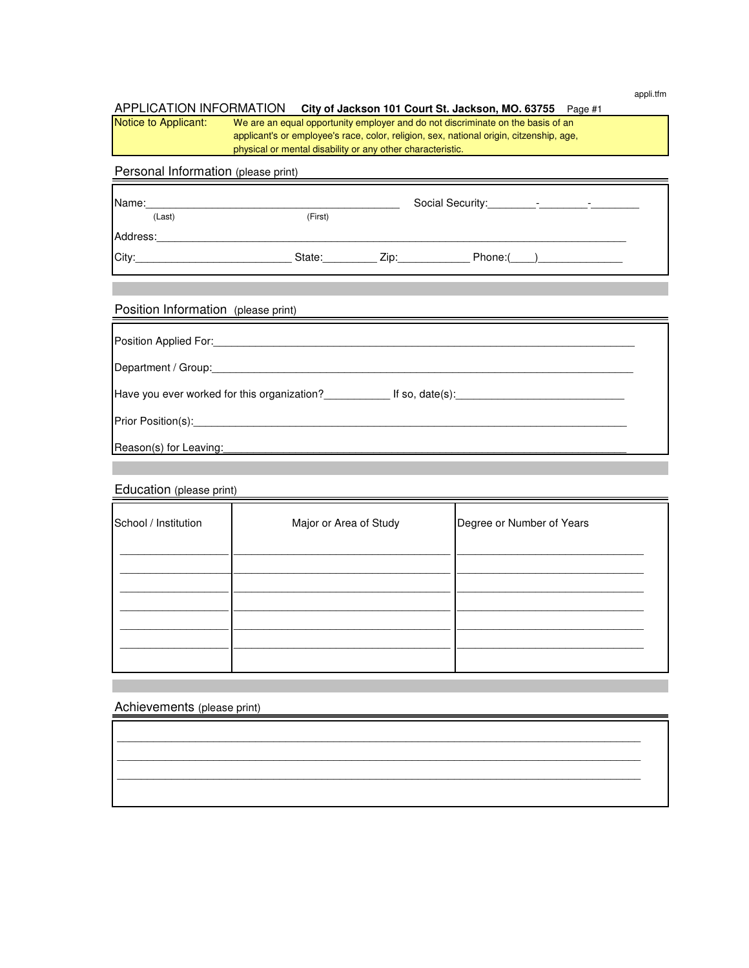appli.tfm

#### APPLICATION INFORMATION City of Jackson 101 Court St. Jackson, MO. 63755 Page #1

Notice to Applicant: We are an equal opportunity employer and do not discriminate on the basis of an applicant's or employee's race, color, religion, sex, national origin, citzenship, age, physical or mental disability or any other characteristic.

# Personal Information (please print)

| Name:    |         |      |        | $\overline{\phantom{0}}$ |
|----------|---------|------|--------|--------------------------|
| (Last)   | (First) |      |        |                          |
| Address: |         |      |        |                          |
| City:    | State:  | Zip: | Phone: |                          |

### Position Information (please print)

| Position Applied For: _____________                                            |  |
|--------------------------------------------------------------------------------|--|
| Department / Group: 1999                                                       |  |
| Have you ever worked for this organization?<br>If so, date(s): $\qquad \qquad$ |  |
| Prior Position(s): 1999                                                        |  |
| Reason(s) for Leaving:                                                         |  |

### Education (please print)

| School / Institution | Major or Area of Study | Degree or Number of Years |
|----------------------|------------------------|---------------------------|
|                      |                        |                           |
|                      |                        |                           |
|                      |                        |                           |
|                      |                        |                           |

 \_\_\_\_\_\_\_\_\_\_\_\_\_\_\_\_\_\_\_\_\_\_\_\_\_\_\_\_\_\_\_\_\_\_\_\_\_\_\_\_\_\_\_\_\_\_\_\_\_\_\_\_\_\_\_\_\_\_\_\_\_\_\_\_\_\_\_\_\_\_\_\_\_\_\_\_\_\_\_\_\_\_\_\_\_\_\_ \_\_\_\_\_\_\_\_\_\_\_\_\_\_\_\_\_\_\_\_\_\_\_\_\_\_\_\_\_\_\_\_\_\_\_\_\_\_\_\_\_\_\_\_\_\_\_\_\_\_\_\_\_\_\_\_\_\_\_\_\_\_\_\_\_\_\_\_\_\_\_\_\_\_\_\_\_\_\_\_\_\_\_\_\_\_\_

\_\_\_\_\_\_\_\_\_\_\_\_\_\_\_\_\_\_\_\_\_\_\_\_\_\_\_\_\_\_\_\_\_\_\_\_\_\_\_\_\_\_\_\_\_\_\_\_\_\_\_\_\_\_\_\_\_\_\_\_\_\_\_\_\_\_\_\_\_\_\_\_\_\_\_\_\_\_\_\_\_\_\_\_\_\_\_

Achievements (please print)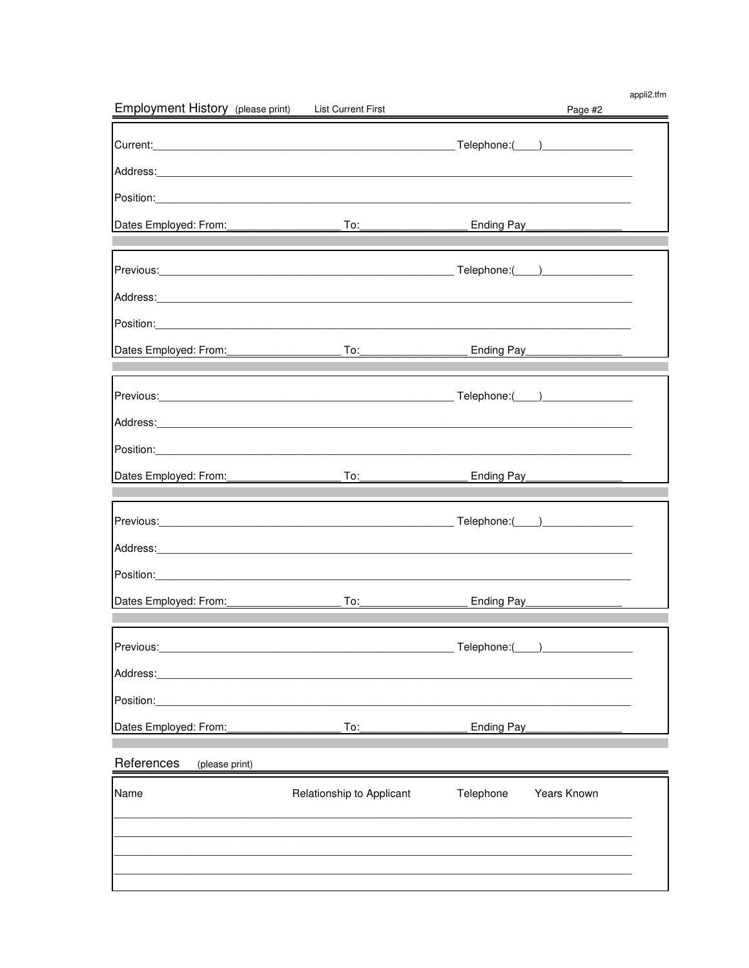| Employment History (please print) List Current First                                                                                                                                                                           |                                                                                                                                                                                                                                                                                                                                   |                  | Page #2                       | appli2.tfm |
|--------------------------------------------------------------------------------------------------------------------------------------------------------------------------------------------------------------------------------|-----------------------------------------------------------------------------------------------------------------------------------------------------------------------------------------------------------------------------------------------------------------------------------------------------------------------------------|------------------|-------------------------------|------------|
|                                                                                                                                                                                                                                |                                                                                                                                                                                                                                                                                                                                   |                  |                               |            |
| Address: 2008. Address: 2008. Address: 2008. Address: 2008. Address: 2008. Address: 2008. Address: 2008. Address: 2008. Address: 2008. Address: 2008. Address: 2008. Address: 2008. Address: 2008. Address: 2008. Address: 200 |                                                                                                                                                                                                                                                                                                                                   |                  |                               |            |
|                                                                                                                                                                                                                                |                                                                                                                                                                                                                                                                                                                                   |                  |                               |            |
| Dates Employed: From:                                                                                                                                                                                                          |                                                                                                                                                                                                                                                                                                                                   |                  |                               |            |
|                                                                                                                                                                                                                                |                                                                                                                                                                                                                                                                                                                                   |                  |                               |            |
|                                                                                                                                                                                                                                |                                                                                                                                                                                                                                                                                                                                   |                  |                               |            |
|                                                                                                                                                                                                                                |                                                                                                                                                                                                                                                                                                                                   |                  |                               |            |
|                                                                                                                                                                                                                                |                                                                                                                                                                                                                                                                                                                                   |                  |                               |            |
|                                                                                                                                                                                                                                |                                                                                                                                                                                                                                                                                                                                   |                  | Ending Pay___________________ |            |
|                                                                                                                                                                                                                                |                                                                                                                                                                                                                                                                                                                                   |                  |                               |            |
|                                                                                                                                                                                                                                |                                                                                                                                                                                                                                                                                                                                   |                  | $F = T = T$                   |            |
|                                                                                                                                                                                                                                |                                                                                                                                                                                                                                                                                                                                   |                  |                               |            |
| Position:                                                                                                                                                                                                                      |                                                                                                                                                                                                                                                                                                                                   |                  |                               |            |
| Dates Employed: From:                                                                                                                                                                                                          | $\overline{\phantom{a}}$ To: $\overline{\phantom{a}}$ To: $\overline{\phantom{a}}$                                                                                                                                                                                                                                                |                  | Ending Pay_______________     |            |
|                                                                                                                                                                                                                                |                                                                                                                                                                                                                                                                                                                                   |                  |                               |            |
|                                                                                                                                                                                                                                |                                                                                                                                                                                                                                                                                                                                   |                  |                               |            |
| Position: Position:                                                                                                                                                                                                            |                                                                                                                                                                                                                                                                                                                                   |                  |                               |            |
|                                                                                                                                                                                                                                | $\overline{a}$ To: the state $\overline{a}$ and $\overline{a}$ and $\overline{a}$ and $\overline{a}$ and $\overline{a}$ and $\overline{a}$ and $\overline{a}$ and $\overline{a}$ and $\overline{a}$ and $\overline{a}$ and $\overline{a}$ and $\overline{a}$ and $\overline{a}$ and $\overline{a}$ and $\overline{a}$ and $\over$ |                  | Ending Pay______________      |            |
|                                                                                                                                                                                                                                |                                                                                                                                                                                                                                                                                                                                   |                  |                               |            |
| Previous:                                                                                                                                                                                                                      |                                                                                                                                                                                                                                                                                                                                   | Telephone:(____) |                               |            |
| Address:                                                                                                                                                                                                                       |                                                                                                                                                                                                                                                                                                                                   |                  |                               |            |
| Position:                                                                                                                                                                                                                      |                                                                                                                                                                                                                                                                                                                                   |                  |                               |            |
| Dates Employed: From:                                                                                                                                                                                                          | To:                                                                                                                                                                                                                                                                                                                               | Ending Pay       |                               |            |
| References<br>(please print)                                                                                                                                                                                                   |                                                                                                                                                                                                                                                                                                                                   |                  |                               |            |
| Name                                                                                                                                                                                                                           | Relationship to Applicant                                                                                                                                                                                                                                                                                                         | Telephone        | Years Known                   |            |
|                                                                                                                                                                                                                                |                                                                                                                                                                                                                                                                                                                                   |                  |                               |            |
|                                                                                                                                                                                                                                |                                                                                                                                                                                                                                                                                                                                   |                  |                               |            |
|                                                                                                                                                                                                                                |                                                                                                                                                                                                                                                                                                                                   |                  |                               |            |